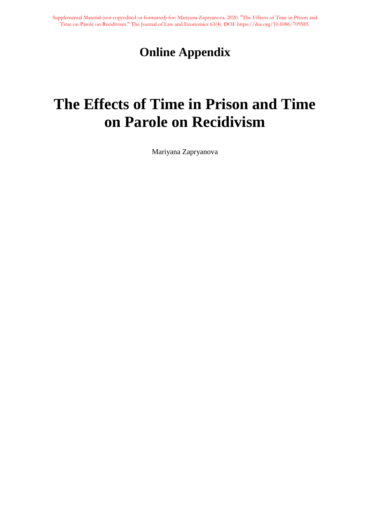## **Online Appendix**

# **The Effects of Time in Prison and Time on Parole on Recidivism**

Mariyana Zapryanova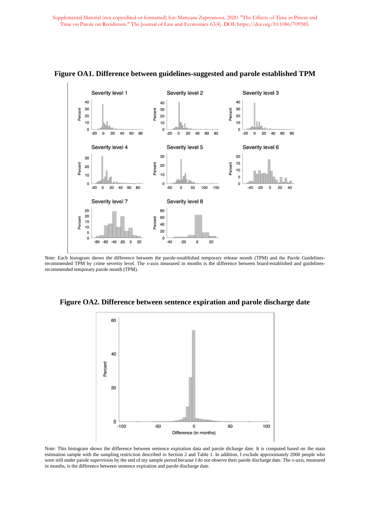

**Figure OA1. Difference between guidelines-suggested and parole established TPM**

Note: Each histogram shows the difference between the parole-established temporary release month (TPM) and the Parole Guidelinesrecommended TPM by crime severity level. The *x*-axis measured in months is the difference between board-established and guidelinesrecommended temporary parole month (TPM).

**Figure OA2. Difference between sentence expiration and parole discharge date**



Note: This histogram shows the difference between sentence expiration data and parole dicharge date. It is computed based on the main estimation sample with the sampling restriction described in Section 2 and Table 1. In addition, I exclude approximately 2000 people who were still under parole supervision by the end of my sample period because I do not observe their parole discharge date. The *x*-axis, measured in months, is the difference between sentence expiration and parole discharge date.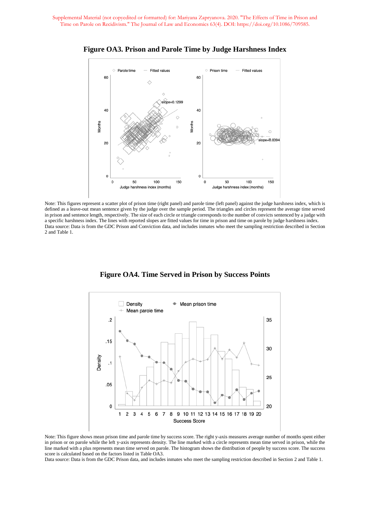

**Figure OA3. Prison and Parole Time by Judge Harshness Index**

Note: This figures represent a scatter plot of prison time (right panel) and parole time (left panel) against the judge harshness index, which is defined as a leave-out mean sentence given by the judge over the sample period. The triangles and circles represent the average time served in prison and sentence length, respectively. The size of each circle or triangle corresponds to the number of convicts sentenced by a judge with a specific harshness index. The lines with reported slopes are fitted values for time in prison and time on parole by judge harshness index. Data source: Data is from the GDC Prison and Conviction data, and includes inmates who meet the sampling restriction described in Section 2 and Table 1.

**Figure OA4. Time Served in Prison by Success Points**



Note: This figure shows mean prison time and parole time by success score. The right y-axis measures average number of months spent either in prison or on parole while the left y-axis represents density. The line marked with a circle represents mean time served in prison, while the line marked with a plus represents mean time served on parole. The histogram shows the distribution of people by success score. The success score is calculated based on the factors listed in Table OA3.

Data source: Data is from the GDC Prison data, and includes inmates who meet the sampling restriction described in Section 2 and Table 1.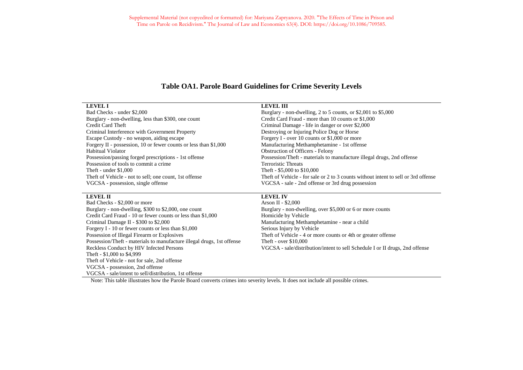#### **Table OA1. Parole Board Guidelines for Crime Severity Levels**

| <b>LEVEL I</b>                                                   | <b>LEVEL III</b>                                                                                                                                                                            |
|------------------------------------------------------------------|---------------------------------------------------------------------------------------------------------------------------------------------------------------------------------------------|
| Bad Checks - under \$2,000                                       | Burglary - non-dwelling, 2 to 5 counts, or $$2,001$ to $$5,000$                                                                                                                             |
| Burglary - non-dwelling, less than \$300, one count              | Credit Card Fraud - more than 10 counts or \$1,000                                                                                                                                          |
| Credit Card Theft                                                | Criminal Damage - life in danger or over \$2,000                                                                                                                                            |
| Criminal Interference with Government Property                   | Destroying or Injuring Police Dog or Horse                                                                                                                                                  |
| Escape Custody - no weapon, aiding escape                        | Forgery I - over 10 counts or $$1,000$ or more                                                                                                                                              |
| Forgery II - possession, 10 or fewer counts or less than \$1,000 | Manufacturing Methamphetamine - 1st offense                                                                                                                                                 |
| Habitual Violator                                                | <b>Obstruction of Officers - Felony</b>                                                                                                                                                     |
| Possession/passing forged prescriptions - 1st offense            | Possession/Theft - materials to manufacture illegal drugs, 2nd offense                                                                                                                      |
| Possession of tools to commit a crime                            | <b>Terroristic Threats</b>                                                                                                                                                                  |
| Theft - under $$1,000$                                           | Theft - \$5,000 to \$10,000                                                                                                                                                                 |
| Theft of Vehicle - not to sell; one count, 1st offense           | The ft of Vehicle - for sale or 2 to 3 counts without intent to sell or 3rd offense                                                                                                         |
| VGCSA - possession, single offense                               | VGCSA - sale - 2nd offense or 3rd drug possession                                                                                                                                           |
|                                                                  |                                                                                                                                                                                             |
| <b>LEVEL II</b>                                                  | <b>LEVEL IV</b>                                                                                                                                                                             |
| Bad Checks - \$2,000 or more                                     | Arson II - $$2,000$                                                                                                                                                                         |
| $D_{\text{total}} = 1.001 \times 10^{10}$                        | $\mathbf{D}_{\text{total}}$ and $\mathbf{L}_{\text{total}}$ and $\mathbf{L}_{\text{total}}$ are $\mathbf{L}_{\text{total}}$ and $\mathbf{L}_{\text{total}}$ and $\mathbf{L}_{\text{total}}$ |

Burglary - non-dwelling, \$300 to \$2,000, one count Burglary - non-dwelling, over \$5,000 or 6 or more counts Credit Card Fraud - 10 or fewer counts or less than \$1,000 Homicide by Vehicle Criminal Damage II - \$300 to \$2,000 Manufacturing Methamphetamine - near a child Forgery I - 10 or fewer counts or less than \$1,000 Serious Injury by Vehicle Possession of Illegal Firearm or Explosives Theft of Vehicle - 4 or more counts or 4th or greater offense Possession/Theft - materials to manufacture illegal drugs, 1st offense Theft - over \$10,000 Theft - \$1,000 to \$4,999 Theft of Vehicle - not for sale, 2nd offense VGCSA - possession, 2nd offense VGCSA - sale/intent to sell/distribution, 1st offense

Reckless Conduct by HIV Infected Persons VGCSA - sale/distribution/intent to sell Schedule I or II drugs, 2nd offense

Note: This table illustrates how the Parole Board converts crimes into severity levels. It does not include all possible crimes.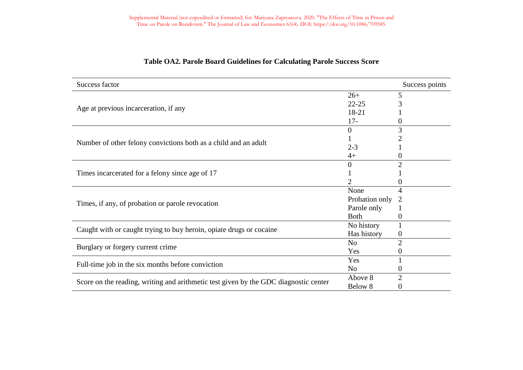| Success factor                                                                       |                | Success points |
|--------------------------------------------------------------------------------------|----------------|----------------|
|                                                                                      | $26+$          | 5              |
|                                                                                      | $22 - 25$      |                |
| Age at previous incarceration, if any                                                | 18-21          |                |
|                                                                                      | $17 -$         | O              |
|                                                                                      | $\Omega$       | 3              |
| Number of other felony convictions both as a child and an adult                      |                |                |
|                                                                                      | $2 - 3$        |                |
|                                                                                      | $4+$           | $_{0}$         |
| Times incarcerated for a felony since age of 17                                      | 0              | $\mathcal{D}$  |
|                                                                                      |                |                |
|                                                                                      |                |                |
|                                                                                      | None           | 4              |
|                                                                                      | Probation only |                |
| Times, if any, of probation or parole revocation                                     | Parole only    |                |
|                                                                                      | <b>Both</b>    | 0              |
|                                                                                      | No history     |                |
| Caught with or caught trying to buy heroin, opiate drugs or cocaine                  | Has history    | $\theta$       |
|                                                                                      | N <sub>o</sub> | $\overline{2}$ |
| Burglary or forgery current crime                                                    | Yes            | 0              |
|                                                                                      | Yes            |                |
| Full-time job in the six months before conviction                                    | N <sub>o</sub> |                |
|                                                                                      | Above 8        | 2              |
| Score on the reading, writing and arithmetic test given by the GDC diagnostic center | Below 8        | 0              |

#### **Table OA2. Parole Board Guidelines for Calculating Parole Success Score**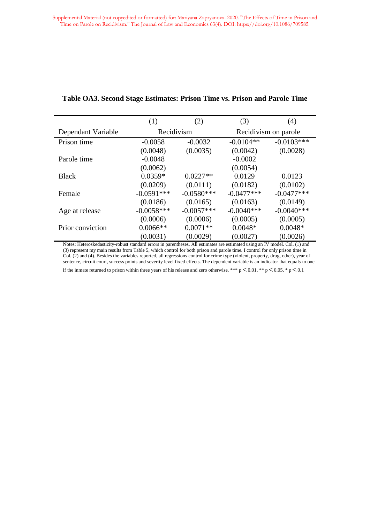|                    | (1)          | (2)          | (3)                  | (4)          |  |
|--------------------|--------------|--------------|----------------------|--------------|--|
| Dependant Variable | Recidivism   |              | Recidivism on parole |              |  |
| Prison time        | $-0.0058$    | $-0.0032$    | $-0.0104**$          | $-0.0103***$ |  |
|                    | (0.0048)     | (0.0035)     | (0.0042)             | (0.0028)     |  |
| Parole time        | $-0.0048$    |              | $-0.0002$            |              |  |
|                    | (0.0062)     |              | (0.0054)             |              |  |
| <b>Black</b>       | $0.0359*$    | $0.0227**$   | 0.0129               | 0.0123       |  |
|                    | (0.0209)     | (0.0111)     | (0.0182)             | (0.0102)     |  |
| Female             | $-0.0591***$ | $-0.0580***$ | $-0.0477***$         | $-0.0477***$ |  |
|                    | (0.0186)     | (0.0165)     | (0.0163)             | (0.0149)     |  |
| Age at release     | $-0.0058***$ | $-0.0057***$ | $-0.0040***$         | $-0.0040***$ |  |
|                    | (0.0006)     | (0.0006)     | (0.0005)             | (0.0005)     |  |
| Prior conviction   | $0.0066**$   | $0.0071**$   | $0.0048*$            | $0.0048*$    |  |
|                    | (0.0031)     | (0.0029)     | (0.0027)             | (0.0026)     |  |

#### **Table OA3. Second Stage Estimates: Prison Time vs. Prison and Parole Time**

Notes: Heteroskedasticity-robust standard errors in parentheses. All estimates are estimated using an IV model. Col. (1) and (3) represent my main results from Table 5, which control for both prison and parole time. I control for only prison time in Col. (2) and (4). Besides the variables reported, all regressions control for crime type (violent, property, drug, other), year of sentence, circuit court, success points and severity level fixed effects. The dependent variable is an indicator that equals to one

if the inmate returned to prison within three years of his release and zero otherwise. \*\*\*  $p \le 0.01$ , \*\*  $p \le 0.05$ , \*  $p \le 0.1$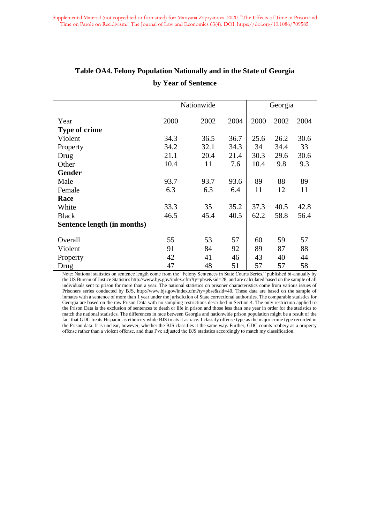|                             | Nationwide |      |      | Georgia |      |      |
|-----------------------------|------------|------|------|---------|------|------|
| Year                        | 2000       | 2002 | 2004 | 2000    | 2002 | 2004 |
| <b>Type of crime</b>        |            |      |      |         |      |      |
| Violent                     | 34.3       | 36.5 | 36.7 | 25.6    | 26.2 | 30.6 |
| Property                    | 34.2       | 32.1 | 34.3 | 34      | 34.4 | 33   |
| Drug                        | 21.1       | 20.4 | 21.4 | 30.3    | 29.6 | 30.6 |
| Other                       | 10.4       | 11   | 7.6  | 10.4    | 9.8  | 9.3  |
| <b>Gender</b>               |            |      |      |         |      |      |
| Male                        | 93.7       | 93.7 | 93.6 | 89      | 88   | 89   |
| Female                      | 6.3        | 6.3  | 6.4  | 11      | 12   | 11   |
| Race                        |            |      |      |         |      |      |
| White                       | 33.3       | 35   | 35.2 | 37.3    | 40.5 | 42.8 |
| <b>Black</b>                | 46.5       | 45.4 | 40.5 | 62.2    | 58.8 | 56.4 |
| Sentence length (in months) |            |      |      |         |      |      |
| Overall                     | 55         | 53   | 57   | 60      | 59   | 57   |
| Violent                     | 91         | 84   | 92   | 89      | 87   | 88   |
| Property                    | 42         | 41   | 46   | 43      | 40   | 44   |
| Drug                        | 47         | 48   | 51   | 57      | 57   | 58   |

### **Table OA4. Felony Population Nationally and in the State of Georgia by Year of Sentence**

Note: National statistics on sentence length come from the "Felony Sentences in State Courts Series," published bi-annually by the US Bureau of Justice Statistics http://www.bjs.gov/index.cfm?ty=pbse&sid=28, and are calculated based on the sample of all individuals sent to prison for more than a year. The national statistics on prisoner characteristics come from various issues of Prisoners series conducted by BJS, http://www.bjs.gov/index.cfm?ty=pbse&sid=40. These data are based on the sample of inmates with a sentence of more than 1 year under the jurisdiction of State correctional authorities. The comparable statistics for Georgia are based on the raw Prison Data with no sampling restrictions described in Section 4. The only restriction applied to the Prison Data is the exclusion of sentences to death or life in prison and those less than one year in order for the statistics to match the national statistics. The differences in race between Georgia and nationwide prison population might be a result of the fact that GDC treats Hispanic as ethnicity while BJS treats it as race. I classify offense type as the major crime type recorded in the Prison data. It is unclear, however, whether the BJS classifies it the same way. Further, GDC counts robbery as a property offense rather than a violent offense, and thus I've adjusted the BJS statistics accordingly to match my classification.